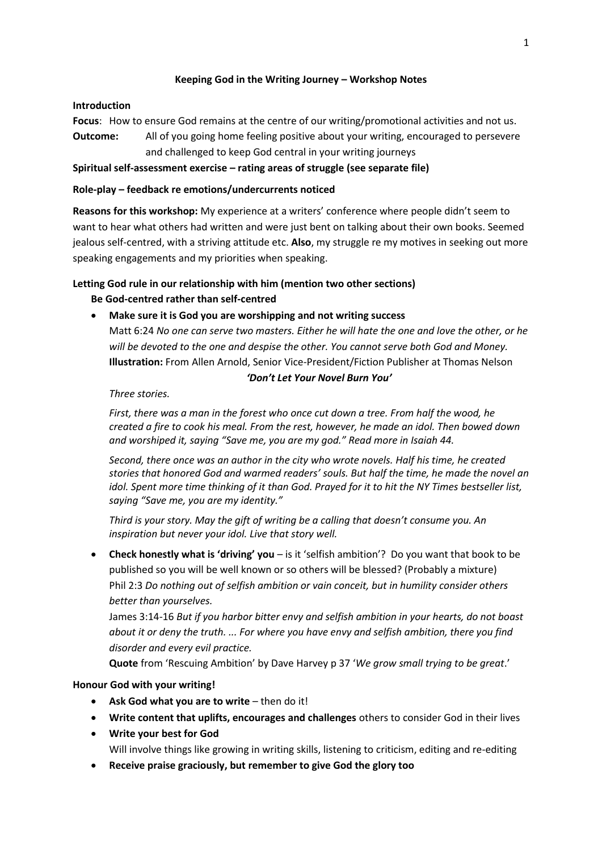## **Keeping God in the Writing Journey – Workshop Notes**

### **Introduction**

**Focus**: How to ensure God remains at the centre of our writing/promotional activities and not us. **Outcome:** All of you going home feeling positive about your writing, encouraged to persevere

and challenged to keep God central in your writing journeys

## **Spiritual self-assessment exercise – rating areas of struggle (see separate file)**

### **Role-play – feedback re emotions/undercurrents noticed**

**Reasons for this workshop:** My experience at a writers' conference where people didn't seem to want to hear what others had written and were just bent on talking about their own books. Seemed jealous self-centred, with a striving attitude etc. **Also**, my struggle re my motives in seeking out more speaking engagements and my priorities when speaking.

# **Letting God rule in our relationship with him (mention two other sections)**

# **Be God-centred rather than self-centred**

# **Make sure it is God you are worshipping and not writing success**

Matt 6:24 *No one can serve two masters. Either he will hate the one and love the other, or he will be devoted to the one and despise the other. You cannot serve both God and Money.* **Illustration:** From Allen Arnold, Senior Vice-President/Fiction Publisher at Thomas Nelson

#### *['Don't Let Your Novel Burn You'](http://allenarnoldwrites.com/dont-let-your-novel-burn-you/)*

*Three stories.*

*First, there was a man in the forest who once cut down a tree. From half the wood, he created a fire to cook his meal. From the rest, however, he made an idol. Then bowed down and worshiped it, saying "Save me, you are my god." Read more in Isaiah 44.*

*Second, there once was an author in the city who wrote novels. Half his time, he created stories that honored God and warmed readers' souls. But half the time, he made the novel an idol. Spent more time thinking of it than God. Prayed for it to hit the NY Times bestseller list, saying "Save me, you are my identity."*

*Third is your story. May the gift of writing be a calling that doesn't consume you. An inspiration but never your idol. Live that story well.*

 **Check honestly what is 'driving' you** – is it 'selfish ambition'? Do you want that book to be published so you will be well known or so others will be blessed? (Probably a mixture) Phil 2:3 *Do nothing out of selfish ambition or vain conceit, but in humility consider others better than yourselves.*

James 3:14-16 *But if you harbor bitter envy and selfish ambition in your hearts, do not boast about it or deny the truth. ... For where you have envy and selfish ambition, there you find disorder and every evil practice.*

**Quote** from 'Rescuing Ambition' by Dave Harvey p 37 '*We grow small trying to be great*.'

### **Honour God with your writing!**

- **Ask God what you are to write** then do it!
- **Write content that uplifts, encourages and challenges** others to consider God in their lives
- **Write your best for God**

Will involve things like growing in writing skills, listening to criticism, editing and re-editing

**Receive praise graciously, but remember to give God the glory too**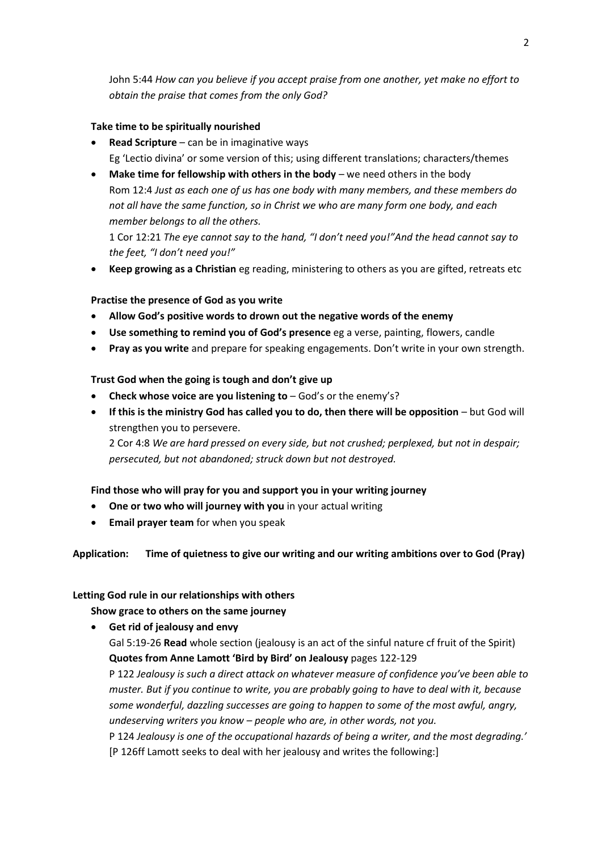John 5:44 *How can you believe if you accept praise from one another, yet make no effort to obtain the praise that comes from the only God?*

#### **Take time to be spiritually nourished**

- **Read Scripture** can be in imaginative ways Eg 'Lectio divina' or some version of this; using different translations; characters/themes
- **Make time for fellowship with others in the body** we need others in the body Rom 12:4 *Just as each one of us has one body with many members, and these members do not all have the same function, so in Christ we who are many form one body, and each member belongs to all the others.*

1 Cor 12:21 *The eye cannot say to the hand, "I don't need you!"And the head cannot say to the feet, "I don't need you!"*

**Keep growing as a Christian** eg reading, ministering to others as you are gifted, retreats etc

#### **Practise the presence of God as you write**

- **Allow God's positive words to drown out the negative words of the enemy**
- **Use something to remind you of God's presence** eg a verse, painting, flowers, candle
- **Pray as you write** and prepare for speaking engagements. Don't write in your own strength.

#### **Trust God when the going is tough and don't give up**

- **Check whose voice are you listening to** God's or the enemy's?
- **If this is the ministry God has called you to do, then there will be opposition** but God will strengthen you to persevere.

2 Cor 4:8 *We are hard pressed on every side, but not crushed; perplexed, but not in despair; persecuted, but not abandoned; struck down but not destroyed.*

#### **Find those who will pray for you and support you in your writing journey**

- **One or two who will journey with you** in your actual writing
- **Email prayer team** for when you speak

### **Application: Time of quietness to give our writing and our writing ambitions over to God (Pray)**

#### **Letting God rule in our relationships with others**

**Show grace to others on the same journey**

 **Get rid of jealousy and envy** Gal 5:19-26 **Read** whole section (jealousy is an act of the sinful nature cf fruit of the Spirit) **Quotes from Anne Lamott 'Bird by Bird' on Jealousy** pages 122-129 P 122 *Jealousy is such a direct attack on whatever measure of confidence you've been able to muster. But if you continue to write, you are probably going to have to deal with it, because some wonderful, dazzling successes are going to happen to some of the most awful, angry, undeserving writers you know – people who are, in other words, not you.* P 124 *Jealousy is one of the occupational hazards of being a writer, and the most degrading.'* [P 126ff Lamott seeks to deal with her jealousy and writes the following:]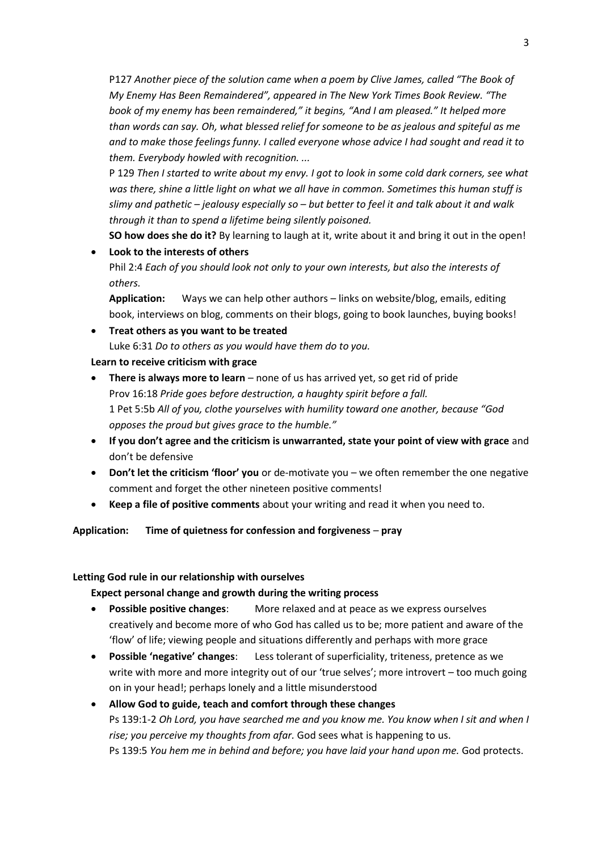P127 *Another piece of the solution came when a poem by Clive James, called "The Book of My Enemy Has Been Remaindered", appeared in The New York Times Book Review. "The book of my enemy has been remaindered," it begins, "And I am pleased." It helped more than words can say. Oh, what blessed relief for someone to be as jealous and spiteful as me and to make those feelings funny. I called everyone whose advice I had sought and read it to them. Everybody howled with recognition. ...*

P 129 *Then I started to write about my envy. I got to look in some cold dark corners, see what was there, shine a little light on what we all have in common. Sometimes this human stuff is slimy and pathetic – jealousy especially so – but better to feel it and talk about it and walk through it than to spend a lifetime being silently poisoned.*

**SO how does she do it?** By learning to laugh at it, write about it and bring it out in the open!

# **Look to the interests of others**

Phil 2:4 *Each of you should look not only to your own interests, but also the interests of others.*

**Application:** Ways we can help other authors – links on website/blog, emails, editing book, interviews on blog, comments on their blogs, going to book launches, buying books!

# **Treat others as you want to be treated**

Luke 6:31 *Do to others as you would have them do to you.*

# **Learn to receive criticism with grace**

- **There is always more to learn** none of us has arrived yet, so get rid of pride Prov 16:18 *Pride goes before destruction, a haughty spirit before a fall.* 1 Pet 5:5b *All of you, clothe yourselves with humility toward one another, because "God opposes the proud but gives grace to the humble."*
- **If you don't agree and the criticism is unwarranted, state your point of view with grace** and don't be defensive
- **Don't let the criticism 'floor' you** or de-motivate you we often remember the one negative comment and forget the other nineteen positive comments!
- **Keep a file of positive comments** about your writing and read it when you need to.

# **Application: Time of quietness for confession and forgiveness** – **pray**

### **Letting God rule in our relationship with ourselves**

# **Expect personal change and growth during the writing process**

- **Possible positive changes**: More relaxed and at peace as we express ourselves creatively and become more of who God has called us to be; more patient and aware of the 'flow' of life; viewing people and situations differently and perhaps with more grace
- **Possible 'negative' changes**: Less tolerant of superficiality, triteness, pretence as we write with more and more integrity out of our 'true selves'; more introvert – too much going on in your head!; perhaps lonely and a little misunderstood

 **Allow God to guide, teach and comfort through these changes** Ps 139:1-2 *Oh Lord, you have searched me and you know me. You know when I sit and when I rise; you perceive my thoughts from afar.* God sees what is happening to us. Ps 139:5 *You hem me in behind and before; you have laid your hand upon me.* God protects.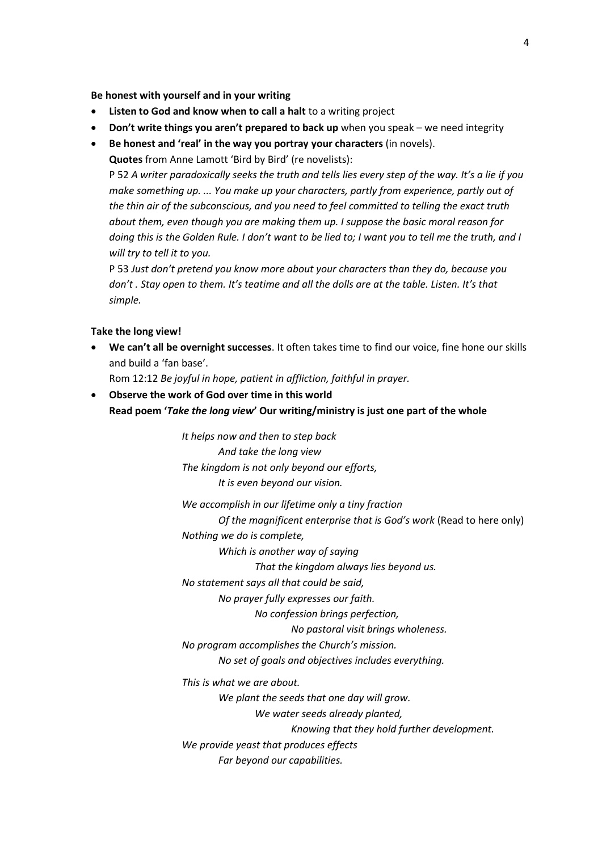**Be honest with yourself and in your writing**

- **Listen to God and know when to call a halt** to a writing project
- **Don't write things you aren't prepared to back up** when you speak we need integrity
- **Be honest and 'real' in the way you portray your characters** (in novels).

**Quotes** from Anne Lamott 'Bird by Bird' (re novelists):

P 52 *A writer paradoxically seeks the truth and tells lies every step of the way. It's a lie if you make something up. ... You make up your characters, partly from experience, partly out of the thin air of the subconscious, and you need to feel committed to telling the exact truth about them, even though you are making them up. I suppose the basic moral reason for doing this is the Golden Rule. I don't want to be lied to; I want you to tell me the truth, and I will try to tell it to you.*

P 53 *Just don't pretend you know more about your characters than they do, because you don't . Stay open to them. It's teatime and all the dolls are at the table. Listen. It's that simple.*

#### **Take the long view!**

 **We can't all be overnight successes**. It often takes time to find our voice, fine hone our skills and build a 'fan base'.

Rom 12:12 *Be joyful in hope, patient in affliction, faithful in prayer.*

 **Observe the work of God over time in this world Read poem '***Take the long view***' Our writing/ministry is just one part of the whole**

> *It helps now and then to step back And take the long view The kingdom is not only beyond our efforts, It is even beyond our vision.*

*We accomplish in our lifetime only a tiny fraction Of the magnificent enterprise that is God's work* (Read to here only) *Nothing we do is complete,*

*Which is another way of saying*

*That the kingdom always lies beyond us.*

*No statement says all that could be said,*

*No prayer fully expresses our faith.*

*No confession brings perfection,*

*No pastoral visit brings wholeness.*

*No program accomplishes the Church's mission.*

*No set of goals and objectives includes everything.*

*This is what we are about.*

*We plant the seeds that one day will grow.*

*We water seeds already planted,*

*Knowing that they hold further development.*

*We provide yeast that produces effects*

*Far beyond our capabilities.*